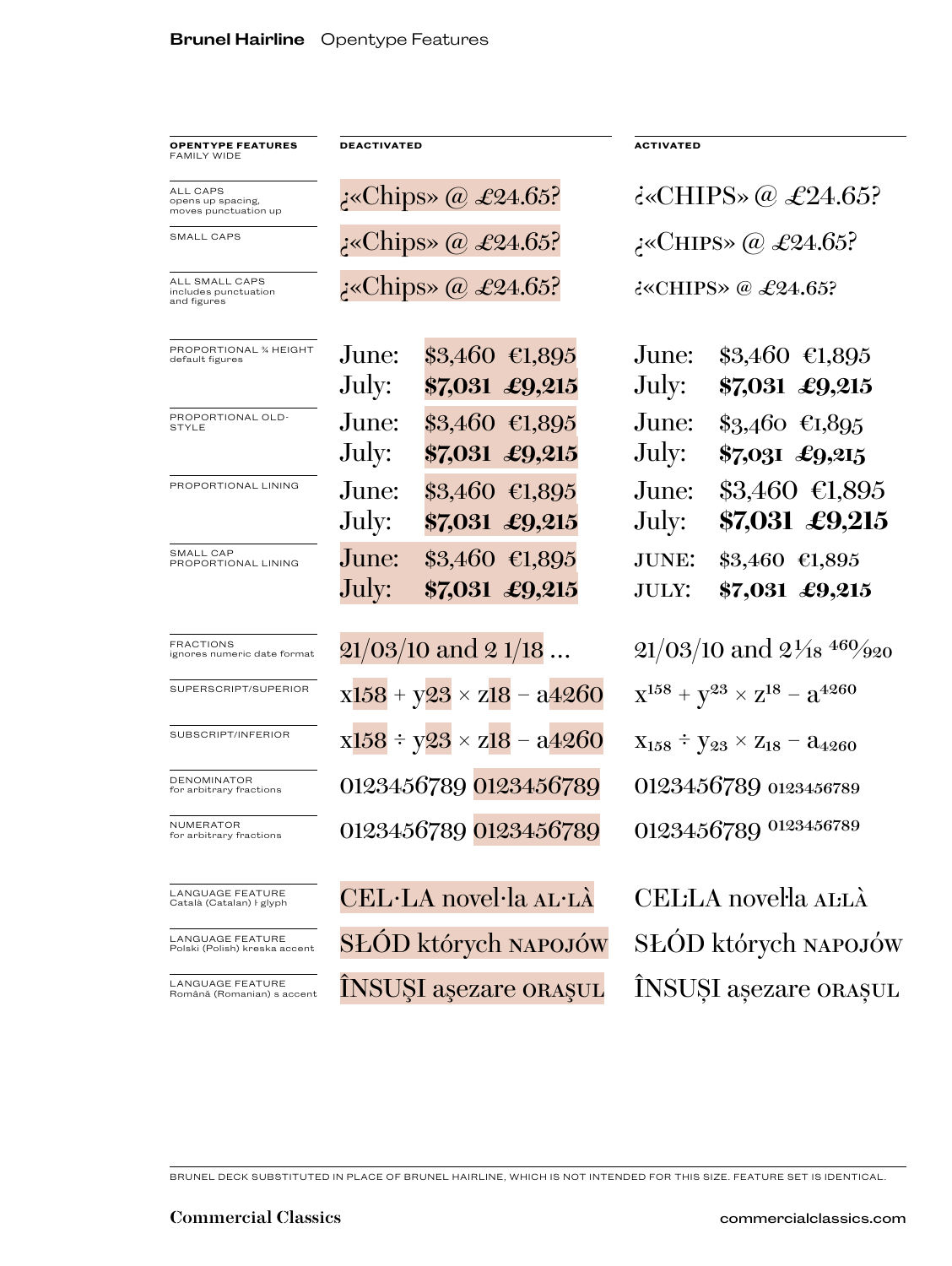| <b>OPENTYPE FEATURES</b><br>FAMILY WIDE                      | <b>DEACTIVATED</b>                 |                                                | <b>ACTIVATED</b>                               |                                                  |
|--------------------------------------------------------------|------------------------------------|------------------------------------------------|------------------------------------------------|--------------------------------------------------|
| <b>ALL CAPS</b><br>opens up spacing,<br>moves punctuation up | $\sim$ Chips» @ £24.65?            |                                                | $\epsilon$ «CHIPS» $\omega \& 24.65$ ?         |                                                  |
| SMALL CAPS                                                   | نوChips» @ £24.65?                 |                                                | نە:«CHIPS» @ £24.65?                           |                                                  |
| ALL SMALL CAPS<br>includes punctuation<br>and figures        | XChips» @ £24.65?                  |                                                | $\epsilon$ < CHIPS $\in \mathcal{L}24.65$ ?    |                                                  |
| PROPORTIONAL % HEIGHT<br>default figures                     | June:<br>July:                     | $$3,460$ €1,895<br>\$7,031 £9,215              | June:<br>July:                                 | $$3,460$ €1,895<br>\$7,031 £9,215                |
| PROPORTIONAL OLD-<br><b>STYLE</b>                            | June:<br>July:                     | $$3,460$ €1,895<br>\$7,031 £9,215              | June:<br>July:                                 | $\$3,460 \text{ } \in L.895$<br>$$7,031$ £9,215  |
| PROPORTIONAL LINING                                          | June:<br>July:                     | $$3,460$ €1,895<br>\$7,031 £9,215              | June:<br>July:                                 | $\$3,460 \; \epsilon\ \ 1,895$<br>\$7,031 £9,215 |
| SMALL CAP<br>PROPORTIONAL LINING                             | June:<br>July:                     | $\$3,460 \text{ } \in 1,895$<br>\$7,031 £9,215 | <b>JUNE:</b><br><b>JULY:</b>                   | $$3,460$ €1,895<br>\$7,031 £9,215                |
| <b>FRACTIONS</b><br>ignores numeric date format              | $21/03/10$ and $21/18$             |                                                | $21/03/10$ and $2\frac{1}{18}$ $460/920$       |                                                  |
| SUPERSCRIPT/SUPERIOR                                         | $x158 + y23 \times z18 - a4260$    |                                                | $X^{158} + Y^{23} \times Z^{18} - 3^{4260}$    |                                                  |
| SUBSCRIPT/INFERIOR                                           | $x158 \div y23 \times z18 - a4260$ |                                                | $X_{158} \div Y_{23} \times Z_{18} - a_{4260}$ |                                                  |
| <b>DENOMINATOR</b><br>for arbitrary fractions                | 0123456789 0123456789              |                                                | 0123456789 0123456789                          |                                                  |
| NUMERATOR<br>for arbitrary fractions                         | 0123456789 0123456789              |                                                | 0123456789 0123456789                          |                                                  |
| LANGUAGE FEATURE<br>Català (Catalan) ŀ glyph                 | CEL·LA novel·la AL·LÀ              |                                                | CELILA novella ALLÀ                            |                                                  |
| <b>LANGUAGE FEATURE</b><br>Polski (Polish) kreska accent     | SŁÓD których NAPOJÓW               |                                                | SŁÓD których NAPOJÓW                           |                                                  |
| LANGUAGE FEATURE<br>Română (Romanian) s accent               | ÎNSUȘI așezare orașul              |                                                | ÎNSUȘI așezare ORAȘUL                          |                                                  |

BRUNEL DECK SUBSTITUTED IN PLACE OF BRUNEL HAIRLINE, WHICH IS NOT INTENDED FOR THIS SIZE. FEATURE SET IS IDENTICAL.